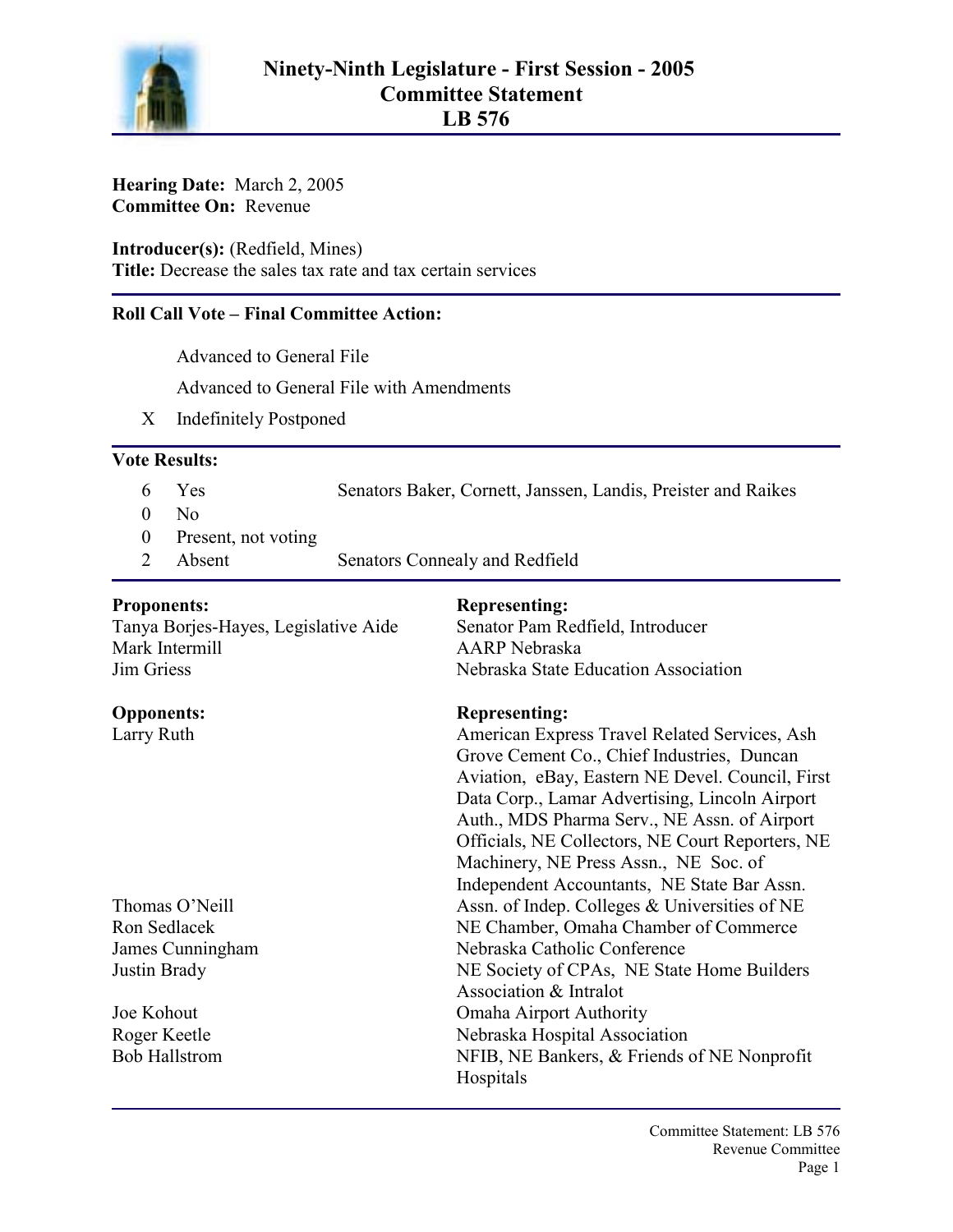

**Hearing Date:** March 2, 2005 **Committee On:** Revenue

**Introducer(s):** (Redfield, Mines) **Title:** Decrease the sales tax rate and tax certain services

## **Roll Call Vote – Final Committee Action:**

Advanced to General File

Advanced to General File with Amendments

X Indefinitely Postponed

## **Vote Results:**

- 6 Yes Senators Baker, Cornett, Janssen, Landis, Preister and Raikes
- $0$  No
- 0 Present, not voting
- 2 Absent Senators Connealy and Redfield

Tanya Borjes-Hayes, Legislative Aide Senator Pam Redfield, Introducer Mark Intermill AARP Nebraska Jim Griess Nebraska State Education Association

# **Proponents:** Representing:

## **Opponents: Representing:**

Larry Ruth **American Express Travel Related Services**, Ash Grove Cement Co., Chief Industries, Duncan Aviation, eBay, Eastern NE Devel. Council, First Data Corp., Lamar Advertising, Lincoln Airport Auth., MDS Pharma Serv., NE Assn. of Airport Officials, NE Collectors, NE Court Reporters, NE Machinery, NE Press Assn., NE Soc. of Independent Accountants, NE State Bar Assn. Thomas O'Neill Assn. of Indep. Colleges & Universities of NE Ron Sedlacek NE Chamber, Omaha Chamber of Commerce James Cunningham Nebraska Catholic Conference Justin Brady NE Society of CPAs, NE State Home Builders Association & Intralot Joe Kohout Omaha Airport Authority Roger Keetle Nebraska Hospital Association Bob Hallstrom NFIB, NE Bankers, & Friends of NE Nonprofit Hospitals